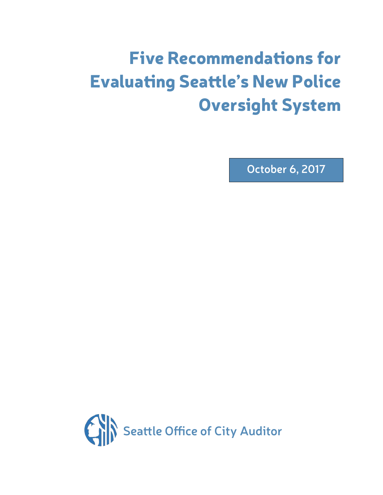# Five Recommendations for Evaluating Seattle's New Police Oversight System

**October 6, 2017**

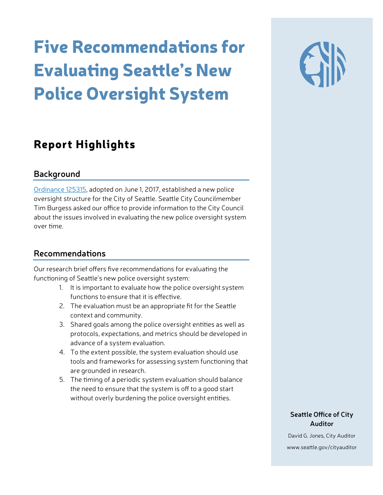# Five Recommendations for Evaluating Seattle's New Police Oversight System

## Report Highlights

#### **Background**

[Ordinance 125315,](https://seattle.legistar.com/ViewReport.ashx?M=R&N=Master&GID=393&ID=3041612&GUID=189886AB-6C46-438A-AB56-DA45AE4FCD7B&Extra=WithText&Title=Legislation+Details+(With+Text)) adopted on June 1, 2017, established a new police oversight structure for the City of Seattle. Seattle City Councilmember Tim Burgess asked our office to provide information to the City Council about the issues involved in evaluating the new police oversight system over time.

### **Recommendations**

Our research brief offers five recommendations for evaluating the functioning of Seattle's new police oversight system:

- 1. It is important to evaluate how the police oversight system functions to ensure that it is effective.
- 2. The evaluation must be an appropriate fit for the Seattle context and community.
- 3. Shared goals among the police oversight entities as well as protocols, expectations, and metrics should be developed in advance of a system evaluation.
- 4. To the extent possible, the system evaluation should use tools and frameworks for assessing system functioning that are grounded in research.
- 5. The timing of a periodic system evaluation should balance the need to ensure that the system is off to a good start without overly burdening the police oversight entities.

#### **Seattle Office of City Auditor**

David G. Jones, City Auditor www.seattle.gov/cityauditor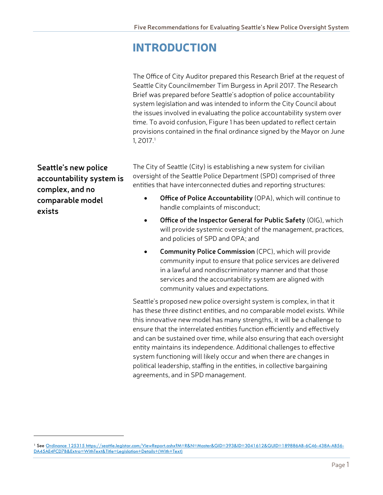## INTRODUCTION

The Office of City Auditor prepared this Research Brief at the request of Seattle City Councilmember Tim Burgess in April 2017. The Research Brief was prepared before Seattle's adoption of police accountability system legislation and was intended to inform the City Council about the issues involved in evaluating the police accountability system over time. To avoid confusion, Figure 1 has been updated to reflect certain provisions contained in the final ordinance signed by the Mayor on June  $1, 2017.<sup>1</sup>$  $1, 2017.<sup>1</sup>$ 

**Seattle's new police accountability system is complex, and no comparable model exists**

 $\overline{a}$ 

The City of Seattle (City) is establishing a new system for civilian oversight of the Seattle Police Department (SPD) comprised of three entities that have interconnected duties and reporting structures:

- **Office of Police Accountability** (OPA), which will continue to handle complaints of misconduct;
- **Office of the Inspector General for Public Safety** (OIG), which will provide systemic oversight of the management, practices, and policies of SPD and OPA; and
- **Community Police Commission** (CPC), which will provide community input to ensure that police services are delivered in a lawful and nondiscriminatory manner and that those services and the accountability system are aligned with community values and expectations.

Seattle's proposed new police oversight system is complex, in that it has these three distinct entities, and no comparable model exists. While this innovative new model has many strengths, it will be a challenge to ensure that the interrelated entities function efficiently and effectively and can be sustained over time, while also ensuring that each oversight entity maintains its independence. Additional challenges to effective system functioning will likely occur and when there are changes in political leadership, staffing in the entities, in collective bargaining agreements, and in SPD management.

<span id="page-2-0"></span><sup>1</sup> See [Ordinance 125315](https://seattle.legistar.com/ViewReport.ashx?M=R&N=Master&GID=393&ID=3041612&GUID=189886AB-6C46-438A-AB56-DA45AE4FCD7B&Extra=WithText&Title=Legislation+Details+(With+Text)) https://seattle.legistar.com/ViewReport.ashx?M=R&N=Master&GID=393&ID=3041612&GUID=189886AB-6C46-438A-AB56- DA45AE4FCD7B&Extra=WithText&Title=Legislation+Details+(With+Text)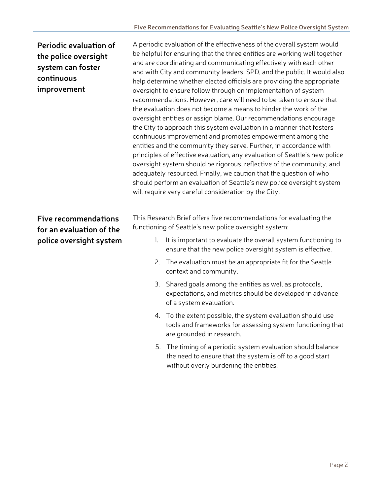### **Periodic evaluation of the police oversight system can foster continuous improvement**

#### **Five recommendations for an evaluation of the police oversight system**

A periodic evaluation of the effectiveness of the overall system would be helpful for ensuring that the three entities are working well together and are coordinating and communicating effectively with each other and with City and community leaders, SPD, and the public. It would also help determine whether elected officials are providing the appropriate oversight to ensure follow through on implementation of system recommendations. However, care will need to be taken to ensure that the evaluation does not become a means to hinder the work of the oversight entities or assign blame. Our recommendations encourage the City to approach this system evaluation in a manner that fosters continuous improvement and promotes empowerment among the entities and the community they serve. Further, in accordance with principles of effective evaluation, any evaluation of Seattle's new police oversight system should be rigorous, reflective of the community, and adequately resourced. Finally, we caution that the question of who should perform an evaluation of Seattle's new police oversight system will require very careful consideration by the City.

This Research Brief offers five recommendations for evaluating the functioning of Seattle's new police oversight system:

- 1. It is important to evaluate the overall system functioning to ensure that the new police oversight system is effective.
- 2. The evaluation must be an appropriate fit for the Seattle context and community.
- 3. Shared goals among the entities as well as protocols, expectations, and metrics should be developed in advance of a system evaluation.
- 4. To the extent possible, the system evaluation should use tools and frameworks for assessing system functioning that are grounded in research.
- 5. The timing of a periodic system evaluation should balance the need to ensure that the system is off to a good start without overly burdening the entities.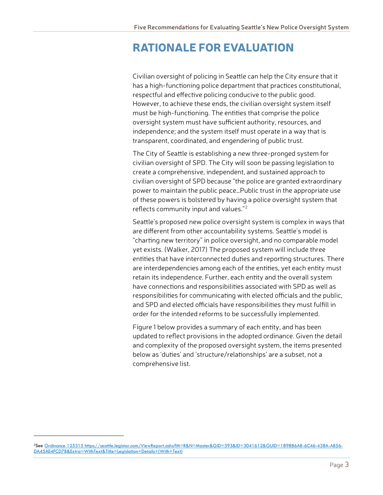### RATIONALE FOR EVALUATION

Civilian oversight of policing in Seattle can help the City ensure that it has a high-functioning police department that practices constitutional, respectful and effective policing conducive to the public good. However, to achieve these ends, the civilian oversight system itself must be high-functioning. The entities that comprise the police oversight system must have sufficient authority, resources, and independence; and the system itself must operate in a way that is transparent, coordinated, and engendering of public trust.

The City of Seattle is establishing a new three-pronged system for civilian oversight of SPD. The City will soon be passing legislation to create a comprehensive, independent, and sustained approach to civilian oversight of SPD because "the police are granted extraordinary power to maintain the public peace…Public trust in the appropriate use of these powers is bolstered by having a police oversight system that reflects community input and values."<sup>[2](#page-4-0)</sup>

Seattle's proposed new police oversight system is complex in ways that are different from other accountability systems. Seattle's model is "charting new territory" in police oversight, and no comparable model yet exists. (Walker, 2017) The proposed system will include three entities that have interconnected duties and reporting structures. There are interdependencies among each of the entities, yet each entity must retain its independence. Further, each entity and the overall system have connections and responsibilities associated with SPD as well as responsibilities for communicating with elected officials and the public, and SPD and elected officials have responsibilities they must fulfill in order for the intended reforms to be successfully implemented.

Figure 1 below provides a summary of each entity, and has been updated to reflect provisions in the adopted ordinance. Given the detail and complexity of the proposed oversight system, the items presented below as 'duties' and 'structure/relationships' are a subset, not a comprehensive list.

 $\overline{a}$ 

<span id="page-4-0"></span><sup>2</sup>See [Ordinance 125315](https://seattle.legistar.com/ViewReport.ashx?M=R&N=Master&GID=393&ID=3041612&GUID=189886AB-6C46-438A-AB56-DA45AE4FCD7B&Extra=WithText&Title=Legislation+Details+(With+Text)) https://seattle.legistar.com/ViewReport.ashx?M=R&N=Master&GID=393&ID=3041612&GUID=189886AB-6C46-438A-AB56- DA45AE4FCD7B&Extra=WithText&Title=Legislation+Details+(With+Text)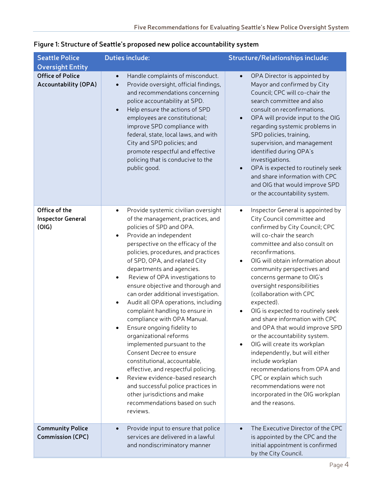| <b>Seattle Police</b>                                                             | <b>Duties include:</b>                                                                                                                                                                                                                                                                                                                                                                                                                                                                                                                                                                                                                                                                                                                                                                                                                                                                                            | <b>Structure/Relationships include:</b>                                                                                                                                                                                                                                                                                                                                                                                                                                                                                                                                                                                                                                                                                                                              |  |
|-----------------------------------------------------------------------------------|-------------------------------------------------------------------------------------------------------------------------------------------------------------------------------------------------------------------------------------------------------------------------------------------------------------------------------------------------------------------------------------------------------------------------------------------------------------------------------------------------------------------------------------------------------------------------------------------------------------------------------------------------------------------------------------------------------------------------------------------------------------------------------------------------------------------------------------------------------------------------------------------------------------------|----------------------------------------------------------------------------------------------------------------------------------------------------------------------------------------------------------------------------------------------------------------------------------------------------------------------------------------------------------------------------------------------------------------------------------------------------------------------------------------------------------------------------------------------------------------------------------------------------------------------------------------------------------------------------------------------------------------------------------------------------------------------|--|
| <b>Oversight Entity</b><br><b>Office of Police</b><br><b>Accountability (OPA)</b> | Handle complaints of misconduct.<br>$\bullet$<br>Provide oversight, official findings,<br>$\bullet$<br>and recommendations concerning<br>police accountability at SPD.<br>Help ensure the actions of SPD<br>$\bullet$<br>employees are constitutional;<br>improve SPD compliance with<br>federal, state, local laws, and with<br>City and SPD policies; and<br>promote respectful and effective<br>policing that is conducive to the<br>public good.                                                                                                                                                                                                                                                                                                                                                                                                                                                              | OPA Director is appointed by<br>$\bullet$<br>Mayor and confirmed by City<br>Council; CPC will co-chair the<br>search committee and also<br>consult on reconfirmations.<br>OPA will provide input to the OIG<br>$\bullet$<br>regarding systemic problems in<br>SPD policies, training,<br>supervision, and management<br>identified during OPA's<br>investigations.<br>OPA is expected to routinely seek<br>$\bullet$<br>and share information with CPC<br>and OIG that would improve SPD<br>or the accountability system.                                                                                                                                                                                                                                            |  |
| Office of the<br><b>Inspector General</b><br>(OIG)                                | Provide systemic civilian oversight<br>$\bullet$<br>of the management, practices, and<br>policies of SPD and OPA.<br>Provide an independent<br>$\bullet$<br>perspective on the efficacy of the<br>policies, procedures, and practices<br>of SPD, OPA, and related City<br>departments and agencies.<br>Review of OPA investigations to<br>$\bullet$<br>ensure objective and thorough and<br>can order additional investigation.<br>Audit all OPA operations, including<br>$\bullet$<br>complaint handling to ensure in<br>compliance with OPA Manual.<br>Ensure ongoing fidelity to<br>organizational reforms<br>implemented pursuant to the<br>Consent Decree to ensure<br>constitutional, accountable,<br>effective, and respectful policing.<br>Review evidence-based research<br>$\bullet$<br>and successful police practices in<br>other jurisdictions and make<br>recommendations based on such<br>reviews. | Inspector General is appointed by<br>$\bullet$<br>City Council committee and<br>confirmed by City Council; CPC<br>will co-chair the search<br>committee and also consult on<br>reconfirmations.<br>OIG will obtain information about<br>community perspectives and<br>concerns germane to OIG's<br>oversight responsibilities<br>(collaboration with CPC<br>expected).<br>OIG is expected to routinely seek<br>and share information with CPC<br>and OPA that would improve SPD<br>or the accountability system.<br>OIG will create its workplan<br>$\bullet$<br>independently, but will either<br>include workplan<br>recommendations from OPA and<br>CPC or explain which such<br>recommendations were not<br>incorporated in the OIG workplan<br>and the reasons. |  |
| <b>Community Police</b><br><b>Commission (CPC)</b>                                | Provide input to ensure that police<br>$\bullet$<br>services are delivered in a lawful<br>and nondiscriminatory manner                                                                                                                                                                                                                                                                                                                                                                                                                                                                                                                                                                                                                                                                                                                                                                                            | The Executive Director of the CPC<br>is appointed by the CPC and the<br>initial appointment is confirmed<br>by the City Council.                                                                                                                                                                                                                                                                                                                                                                                                                                                                                                                                                                                                                                     |  |

#### **Figure 1: Structure of Seattle's proposed new police accountability system**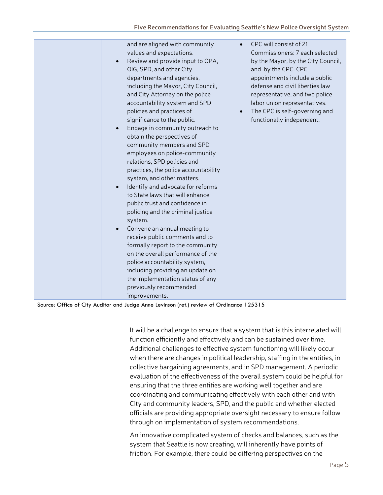Source: Office of City Auditor and Judge Anne Levinson (ret.) review of Ordinance 125315

It will be a challenge to ensure that a system that is this interrelated will function efficiently and effectively and can be sustained over time. Additional challenges to effective system functioning will likely occur when there are changes in political leadership, staffing in the entities, in collective bargaining agreements, and in SPD management. A periodic evaluation of the effectiveness of the overall system could be helpful for ensuring that the three entities are working well together and are coordinating and communicating effectively with each other and with City and community leaders, SPD, and the public and whether elected officials are providing appropriate oversight necessary to ensure follow through on implementation of system recommendations.

An innovative complicated system of checks and balances, such as the system that Seattle is now creating, will inherently have points of friction. For example, there could be differing perspectives on the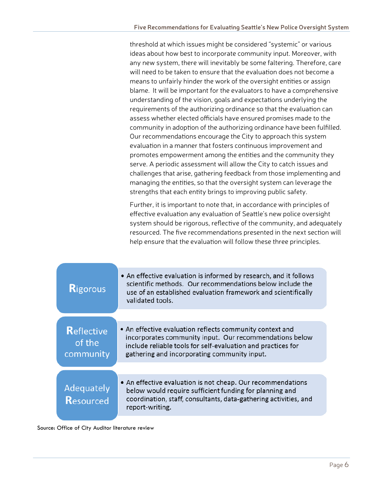threshold at which issues might be considered "systemic" or various ideas about how best to incorporate community input. Moreover, with any new system, there will inevitably be some faltering. Therefore, care will need to be taken to ensure that the evaluation does not become a means to unfairly hinder the work of the oversight entities or assign blame. It will be important for the evaluators to have a comprehensive understanding of the vision, goals and expectations underlying the requirements of the authorizing ordinance so that the evaluation can assess whether elected officials have ensured promises made to the community in adoption of the authorizing ordinance have been fulfilled. Our recommendations encourage the City to approach this system evaluation in a manner that fosters continuous improvement and promotes empowerment among the entities and the community they serve. A periodic assessment will allow the City to catch issues and challenges that arise, gathering feedback from those implementing and managing the entities, so that the oversight system can leverage the strengths that each entity brings to improving public safety.

Further, it is important to note that, in accordance with principles of effective evaluation any evaluation of Seattle's new police oversight system should be rigorous, reflective of the community, and adequately resourced. The five recommendations presented in the next section will help ensure that the evaluation will follow these three principles.

| <b>Rigorous</b>                          | • An effective evaluation is informed by research, and it follows<br>scientific methods. Our recommendations below include the<br>use of an established evaluation framework and scientifically<br>validated tools.                 |  |
|------------------------------------------|-------------------------------------------------------------------------------------------------------------------------------------------------------------------------------------------------------------------------------------|--|
|                                          |                                                                                                                                                                                                                                     |  |
| <b>Reflective</b><br>of the<br>community | • An effective evaluation reflects community context and<br>incorporates community input. Our recommendations below<br>include reliable tools for self-evaluation and practices for<br>gathering and incorporating community input. |  |
|                                          |                                                                                                                                                                                                                                     |  |
| Adequately<br>Resourced                  | • An effective evaluation is not cheap. Our recommendations<br>below would require sufficient funding for planning and<br>coordination, staff, consultants, data-gathering activities, and<br>report-writing.                       |  |

Source: Office of City Auditor literature review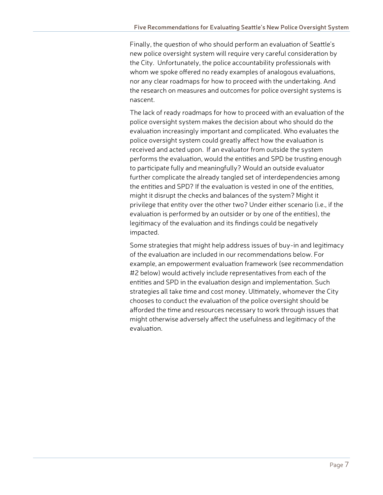Finally, the question of who should perform an evaluation of Seattle's new police oversight system will require very careful consideration by the City. Unfortunately, the police accountability professionals with whom we spoke offered no ready examples of analogous evaluations, nor any clear roadmaps for how to proceed with the undertaking. And the research on measures and outcomes for police oversight systems is nascent.

The lack of ready roadmaps for how to proceed with an evaluation of the police oversight system makes the decision about who should do the evaluation increasingly important and complicated. Who evaluates the police oversight system could greatly affect how the evaluation is received and acted upon. If an evaluator from outside the system performs the evaluation, would the entities and SPD be trusting enough to participate fully and meaningfully? Would an outside evaluator further complicate the already tangled set of interdependencies among the entities and SPD? If the evaluation is vested in one of the entities, might it disrupt the checks and balances of the system? Might it privilege that entity over the other two? Under either scenario (i.e., if the evaluation is performed by an outsider or by one of the entities), the legitimacy of the evaluation and its findings could be negatively impacted.

Some strategies that might help address issues of buy-in and legitimacy of the evaluation are included in our recommendations below. For example, an empowerment evaluation framework (see recommendation #2 below) would actively include representatives from each of the entities and SPD in the evaluation design and implementation. Such strategies all take time and cost money. Ultimately, whomever the City chooses to conduct the evaluation of the police oversight should be afforded the time and resources necessary to work through issues that might otherwise adversely affect the usefulness and legitimacy of the evaluation.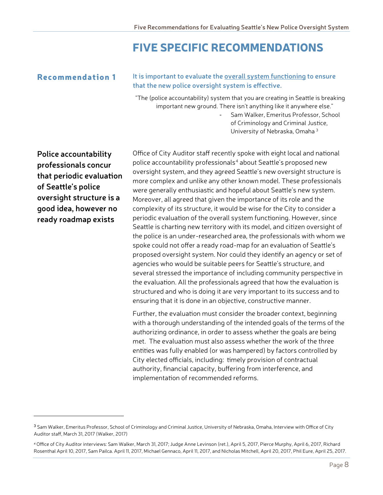### FIVE SPECIFIC RECOMMENDATIONS

#### Recommendation 1 **It is important to evaluate the overall system functioning to ensure that the new police oversight system is effective.**

"The (police accountability) system that you are creating in Seattle is breaking important new ground. There isn't anything like it anywhere else."

> - Sam Walker, Emeritus Professor, School of Criminology and Criminal Justice, University of Nebraska, Omaha [3](#page-9-0)

**Police accountability professionals concur that periodic evaluation of Seattle's police oversight structure is a good idea, however no ready roadmap exists**

 $\overline{a}$ 

Office of City Auditor staff recently spoke with eight local and national police accountability professionals<sup>[4](#page-9-1)</sup> about Seattle's proposed new oversight system, and they agreed Seattle's new oversight structure is more complex and unlike any other known model. These professionals were generally enthusiastic and hopeful about Seattle's new system. Moreover, all agreed that given the importance of its role and the complexity of its structure, it would be wise for the City to consider a periodic evaluation of the overall system functioning. However, since Seattle is charting new territory with its model, and citizen oversight of the police is an under-researched area, the professionals with whom we spoke could not offer a ready road-map for an evaluation of Seattle's proposed oversight system. Nor could they identify an agency or set of agencies who would be suitable peers for Seattle's structure, and several stressed the importance of including community perspective in the evaluation. All the professionals agreed that how the evaluation is structured and who is doing it are very important to its success and to ensuring that it is done in an objective, constructive manner.

Further, the evaluation must consider the broader context, beginning with a thorough understanding of the intended goals of the terms of the authorizing ordinance, in order to assess whether the goals are being met. The evaluation must also assess whether the work of the three entities was fully enabled (or was hampered) by factors controlled by City elected officials, including: timely provision of contractual authority, financial capacity, buffering from interference, and implementation of recommended reforms.

<span id="page-9-0"></span><sup>3</sup> Sam Walker, Emeritus Professor, School of Criminology and Criminal Justice, University of Nebraska, Omaha, Interview with Office of City Auditor staff, March 31, 2017 (Walker, 2017)

<span id="page-9-1"></span><sup>4</sup> Office of City Auditor interviews: Sam Walker, March 31, 2017; Judge Anne Levinson (ret.), April 5, 2017, Pierce Murphy, April 6, 2017, Richard Rosenthal April 10, 2017, Sam Pailca. April 11, 2017, Michael Gennaco, April 11, 2017, and Nicholas Mitchell, April 20, 2017, Phil Eure, April 25, 2017.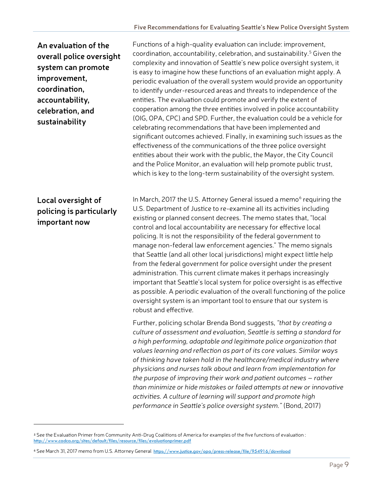### **An evaluation of the overall police oversight system can promote improvement, coordination, accountability, celebration, and sustainability**

#### **Local oversight of policing is particularly important now**

 $\overline{a}$ 

Functions of a high-quality evaluation can include: improvement, coordination, accountability, celebration, and sustainability.<sup>5</sup> Given the complexity and innovation of Seattle's new police oversight system, it is easy to imagine how these functions of an evaluation might apply. A periodic evaluation of the overall system would provide an opportunity to identify under-resourced areas and threats to independence of the entities. The evaluation could promote and verify the extent of cooperation among the three entities involved in police accountability (OIG, OPA, CPC) and SPD. Further, the evaluation could be a vehicle for celebrating recommendations that have been implemented and significant outcomes achieved. Finally, in examining such issues as the effectiveness of the communications of the three police oversight entities about their work with the public, the Mayor, the City Council and the Police Monitor, an evaluation will help promote public trust, which is key to the long-term sustainability of the oversight system.

In March, 2017 the U.S. Attorney General issued a memo<sup>[6](#page-10-1)</sup> requiring the U.S. Department of Justice to re-examine all its activities including existing or planned consent decrees. The memo states that, "local control and local accountability are necessary for effective local policing. It is not the responsibility of the federal government to manage non-federal law enforcement agencies." The memo signals that Seattle (and all other local jurisdictions) might expect little help from the federal government for police oversight under the present administration. This current climate makes it perhaps increasingly important that Seattle's local system for police oversight is as effective as possible. A periodic evaluation of the overall functioning of the police oversight system is an important tool to ensure that our system is robust and effective.

Further, policing scholar Brenda Bond suggests, *"that by creating a culture of assessment and evaluation, Seattle is setting a standard for a high performing, adaptable and legitimate police organization that values learning and reflection as part of its core values. Similar ways of thinking have taken hold in the healthcare/medical industry where physicians and nurses talk about and learn from implementation for the purpose of improving their work and patient outcomes – rather than minimize or hide mistakes or failed attempts at new or innovative activities. A culture of learning will support and promote high performance in Seattle's police oversight system."* (Bond, 2017)

<span id="page-10-0"></span><sup>5</sup> See the Evaluation Primer from Community Anti-Drug Coalitions of America for examples of the five functions of evaluation : <http://www.cadca.org/sites/default/files/resource/files/evaluationprimer.pdf>

<span id="page-10-1"></span><sup>6</sup> See March 31, 2017 memo from U.S. Attorney General <https://www.justice.gov/opa/press-release/file/954916/download>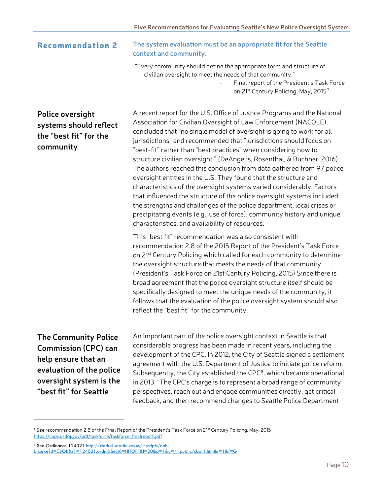#### Recommendation 2 **The system evaluation must be an appropriate fit for the Seattle context and community.**

"Every community should define the appropriate form and structure of civilian oversight to meet the needs of that community."

> Final report of the President's Task Force on 21<sup>st</sup> Century Policing, May, 2015<sup>[7](#page-11-0)</sup>

### **Police oversight systems should reflect the "best fit" for the community**

A recent report for the U.S. Office of Justice Programs and the National Association for Civilian Oversight of Law Enforcement (NACOLE) concluded that "no single model of oversight is going to work for all jurisdictions" and recommended that "jurisdictions should focus on "best-fit" rather than "best practices" when considering how to structure civilian oversight." (DeAngelis, Rosenthal, & Buchner, 2016) The authors reached this conclusion from data gathered from 97 police oversight entities in the U.S. They found that the structure and characteristics of the oversight systems varied considerably. Factors that influenced the structure of the police oversight systems included: the strengths and challenges of the police department, local crises or precipitating events (e.g., use of force), community history and unique characteristics, and availability of resources.

This "best fit" recommendation was also consistent with recommendation 2.8 of the 2015 Report of the President's Task Force on 21<sup>st</sup> Century Policing which called for each community to determine the oversight structure that meets the needs of that community. (President's Task Force on 21st Century Policing, 2015) Since there is broad agreement that the police oversight structure itself should be specifically designed to meet the unique needs of the community, it follows that the evaluation of the police oversight system should also reflect the "best fit" for the community.

**The Community Police Commission (CPC) can help ensure that an evaluation of the police oversight system is the "best fit" for Seattle**

 $\overline{\phantom{a}}$ 

An important part of the police oversight context in Seattle is that considerable progress has been made in recent years, including the development of the CPC. In 2012, the City of Seattle signed a settlement agreement with the U.S. Department of Justice to initiate police reform. Subsequently, the City established the  $CPC<sup>8</sup>$  $CPC<sup>8</sup>$  $CPC<sup>8</sup>$ , which became operational in 2013. "The CPC's charge is to represent a broad range of community perspectives, reach out and engage communities directly, get critical feedback, and then recommend changes to Seattle Police Department

<span id="page-11-0"></span><sup>&</sup>lt;sup>7</sup> See recommendation 2.8 of the Final Report of the President's Task Force on 21<sup>st</sup> Century Policing, May, 2015 [https://cops.usdoj.gov/pdf/taskforce/taskforce\\_finalreport.pdf](https://cops.usdoj.gov/pdf/taskforce/taskforce_finalreport.pdf)

<span id="page-11-1"></span><sup>8</sup> See Ordinance 12402[1 http://clerk.ci.seattle.wa.us/~scripts/nph](http://clerk.ci.seattle.wa.us/%7Escripts/nph-brs.exe?d=CBOR&s1=124021.ordn.&Sect6=HITOFF&l=20&p=1&u=/%7Epublic/cbor1.htm&r=1&f=G)[brs.exe?d=CBOR&s1=124021.ordn.&Sect6=HITOFF&l=20&p=1&u=/~public/cbor1.htm&r=1&f=G](http://clerk.ci.seattle.wa.us/%7Escripts/nph-brs.exe?d=CBOR&s1=124021.ordn.&Sect6=HITOFF&l=20&p=1&u=/%7Epublic/cbor1.htm&r=1&f=G)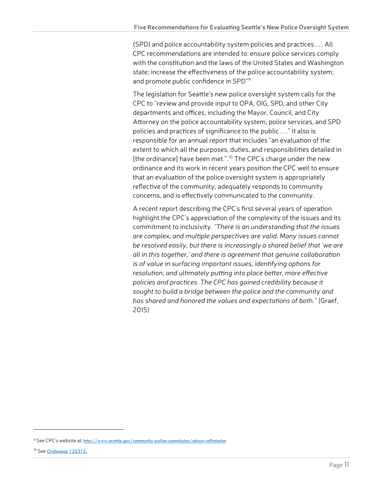(SPD) and police accountability system policies and practices . . . All CPC recommendations are intended to: ensure police services comply with the constitution and the laws of the United States and Washington state; increase the effectiveness of the police accountability system; and promote public confidence in SPD"[9](#page-12-0)

The legislation for Seattle's new police oversight system calls for the CPC to "review and provide input to OPA, OIG, SPD, and other City departments and offices, including the Mayor, Council, and City Attorney on the police accountability system, police services, and SPD policies and practices of significance to the public . . ." It also is responsible for an annual report that includes "an evaluation of the extent to which all the purposes, duties, and responsibilities detailed in [the ordinance] have been met.".<sup>[10](#page-12-1)</sup> The CPC's charge under the new ordinance and its work in recent years position the CPC well to ensure that an evaluation of the police oversight system is appropriately reflective of the community, adequately responds to community concerns, and is effectively communicated to the community.

A recent report describing the CPC's first several years of operation highlight the CPC's appreciation of the complexity of the issues and its commitment to inclusivity. *"There is an understanding that the issues are complex, and multiple perspectives are valid. Many issues cannot be resolved easily, but there is increasingly a shared belief that 'we are all in this together,' and there is agreement that genuine collaboration is of value in surfacing important issues, identifying options for resolution, and ultimately putting into place better, more effective policies and practices. The CPC has gained credibility because it sought to build a bridge between the police and the community and has shared and honored the values and expectations of both."* (Graef, 2015)

l

<span id="page-12-0"></span><sup>9</sup> See CPC's website at: [http://www.seattle.gov/community-police-commission/about-us#](http://www.seattle.gov/community-police-commission/about-us)mission

<span id="page-12-1"></span><sup>&</sup>lt;sup>10</sup> See Ordinance 125315,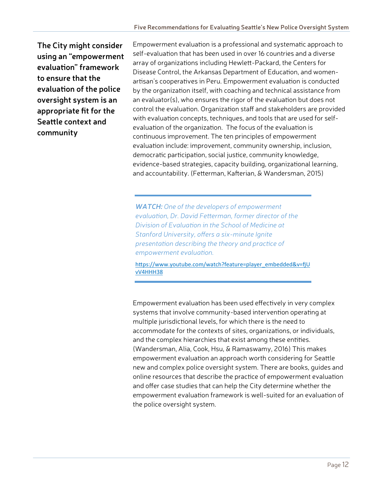**The City might consider using an "empowerment evaluation" framework to ensure that the evaluation of the police oversight system is an appropriate fit for the Seattle context and community**

Empowerment evaluation is a professional and systematic approach to self-evaluation that has been used in over 16 countries and a diverse array of organizations including Hewlett-Packard, the Centers for Disease Control, the Arkansas Department of Education, and womenartisan's cooperatives in Peru. Empowerment evaluation is conducted by the organization itself, with coaching and technical assistance from an evaluator(s), who ensures the rigor of the evaluation but does not control the evaluation. Organization staff and stakeholders are provided with evaluation concepts, techniques, and tools that are used for selfevaluation of the organization. The focus of the evaluation is continuous improvement. The ten principles of empowerment evaluation include: improvement, community ownership, inclusion, democratic participation, social justice, community knowledge, evidence-based strategies, capacity building, organizational learning, and accountability. (Fetterman, Kafterian, & Wandersman, 2015)

*WATCH: One of the developers of empowerment evaluation, Dr. David Fetterman, former director of the Division of Evaluation in the School of Medicine at Stanford University, offers a six-minute Ignite presentation describing the theory and practice of empowerment evaluation.*

[https://www.youtube.com/watch?feature=player\\_embedded&v=fjU](https://www.youtube.com/watch?feature=player_embedded&v=fjUvV4HHH38) [vV4HHH38](https://www.youtube.com/watch?feature=player_embedded&v=fjUvV4HHH38)

Empowerment evaluation has been used effectively in very complex systems that involve community-based intervention operating at multiple jurisdictional levels, for which there is the need to accommodate for the contexts of sites, organizations, or individuals, and the complex hierarchies that exist among these entities. (Wandersman, Alia, Cook, Hsu, & Ramaswamy, 2016) This makes empowerment evaluation an approach worth considering for Seattle new and complex police oversight system. There are books, guides and online resources that describe the practice of empowerment evaluation and offer case studies that can help the City determine whether the empowerment evaluation framework is well-suited for an evaluation of the police oversight system.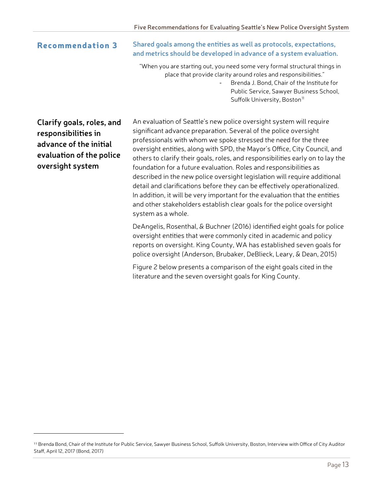Recommendation 3 **Shared goals among the entities as well as protocols, expectations, and metrics should be developed in advance of a system evaluation.**

> "When you are starting out, you need some very formal structural things in place that provide clarity around roles and responsibilities."

> > Brenda J. Bond, Chair of the Institute for Public Service, Sawyer Business School, Suffolk University, Boston<sup>[11](#page-14-0)</sup>

**Clarify goals, roles, and responsibilities in advance of the initial evaluation of the police oversight system**

l

An evaluation of Seattle's new police oversight system will require significant advance preparation. Several of the police oversight professionals with whom we spoke stressed the need for the three oversight entities, along with SPD, the Mayor's Office, City Council, and others to clarify their goals, roles, and responsibilities early on to lay the foundation for a future evaluation. Roles and responsibilities as described in the new police oversight legislation will require additional detail and clarifications before they can be effectively operationalized. In addition, it will be very important for the evaluation that the entities and other stakeholders establish clear goals for the police oversight system as a whole.

DeAngelis, Rosenthal, & Buchner (2016) identified eight goals for police oversight entities that were commonly cited in academic and policy reports on oversight. King County, WA has established seven goals for police oversight (Anderson, Brubaker, DeBlieck, Leary, & Dean, 2015)

Figure 2 below presents a comparison of the eight goals cited in the literature and the seven oversight goals for King County.

<span id="page-14-0"></span><sup>11</sup> Brenda Bond, Chair of the Institute for Public Service, Sawyer Business School, Suffolk University, Boston, Interview with Office of City Auditor Staff, April 12, 2017 (Bond, 2017)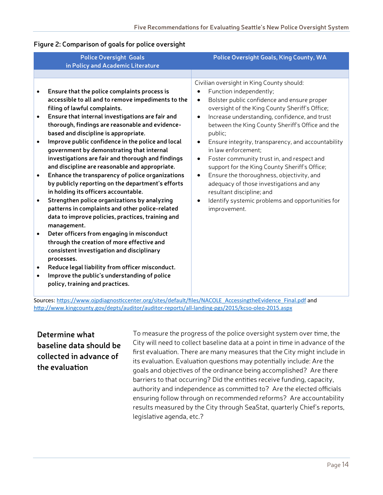#### **Figure 2: Comparison of goals for police oversight**

| Civilian oversight in King County should:<br>Function independently;<br>Ensure that the police complaints process is<br>accessible to all and to remove impediments to the<br>Bolster public confidence and ensure proper<br>filing of lawful complaints.<br>oversight of the King County Sheriff's Office;                                                                                                                                                                                                                                                                                                                                                                                                                                                                                                                                                                                                                                                                                                                                                                                                                                                                                                                                                                                                                                                                                                                                                         |  |
|---------------------------------------------------------------------------------------------------------------------------------------------------------------------------------------------------------------------------------------------------------------------------------------------------------------------------------------------------------------------------------------------------------------------------------------------------------------------------------------------------------------------------------------------------------------------------------------------------------------------------------------------------------------------------------------------------------------------------------------------------------------------------------------------------------------------------------------------------------------------------------------------------------------------------------------------------------------------------------------------------------------------------------------------------------------------------------------------------------------------------------------------------------------------------------------------------------------------------------------------------------------------------------------------------------------------------------------------------------------------------------------------------------------------------------------------------------------------|--|
|                                                                                                                                                                                                                                                                                                                                                                                                                                                                                                                                                                                                                                                                                                                                                                                                                                                                                                                                                                                                                                                                                                                                                                                                                                                                                                                                                                                                                                                                     |  |
| Ensure that internal investigations are fair and<br>Increase understanding, confidence, and trust<br>$\bullet$<br>$\bullet$<br>thorough, findings are reasonable and evidence-<br>between the King County Sheriff's Office and the<br>based and discipline is appropriate.<br>public;<br>Improve public confidence in the police and local<br>Ensure integrity, transparency, and accountability<br>government by demonstrating that internal<br>in law enforcement;<br>investigations are fair and thorough and findings<br>Foster community trust in, and respect and<br>and discipline are reasonable and appropriate.<br>support for the King County Sheriff's Office;<br>Enhance the transparency of police organizations<br>Ensure the thoroughness, objectivity, and<br>by publicly reporting on the department's efforts<br>adequacy of those investigations and any<br>in holding its officers accountable.<br>resultant discipline; and<br>Strengthen police organizations by analyzing<br>Identify systemic problems and opportunities for<br>$\bullet$<br>patterns in complaints and other police-related<br>improvement.<br>data to improve policies, practices, training and<br>management.<br>Deter officers from engaging in misconduct<br>through the creation of more effective and<br>consistent investigation and disciplinary<br>processes.<br>Reduce legal liability from officer misconduct.<br>Improve the public's understanding of police |  |

Sources[: https://www.ojpdiagnosticcenter.org/sites/default/files/NACOLE\\_AccessingtheEvidence\\_Final.pdf](https://www.ojpdiagnosticcenter.org/sites/default/files/NACOLE_AccessingtheEvidence_Final.pdf) and [http://www.kingcounty.gov/depts/auditor/auditor](http://www.kingcounty.gov/depts/auditor/auditor-reports/all-landing-pgs/2015/kcso-oleo-2015.aspx)-reports/all-landing-pgs/2015/kcso-oleo-2015.aspx

#### **Determine what baseline data should be collected in advance of the evaluation**

To measure the progress of the police oversight system over time, the City will need to collect baseline data at a point in time in advance of the first evaluation. There are many measures that the City might include in its evaluation. Evaluation questions may potentially include: Are the goals and objectives of the ordinance being accomplished? Are there barriers to that occurring? Did the entities receive funding, capacity, authority and independence as committed to? Are the elected officials ensuring follow through on recommended reforms? Are accountability results measured by the City through SeaStat, quarterly Chief's reports, legislative agenda, etc.?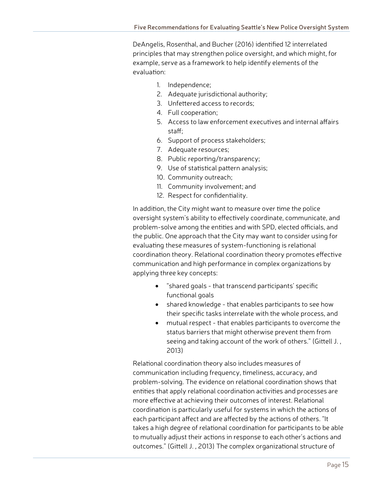DeAngelis, Rosenthal, and Bucher (2016) identified 12 interrelated principles that may strengthen police oversight, and which might, for example, serve as a framework to help identify elements of the evaluation:

- 1. Independence;
- 2. Adequate jurisdictional authority;
- 3. Unfettered access to records;
- 4. Full cooperation;
- 5. Access to law enforcement executives and internal affairs staff;
- 6. Support of process stakeholders;
- 7. Adequate resources;
- 8. Public reporting/transparency;
- 9. Use of statistical pattern analysis;
- 10. Community outreach;
- 11. Community involvement; and
- 12. Respect for confidentiality.

In addition, the City might want to measure over time the police oversight system's ability to effectively coordinate, communicate, and problem-solve among the entities and with SPD, elected officials, and the public. One approach that the City may want to consider using for evaluating these measures of system-functioning is relational coordination theory. Relational coordination theory promotes effective communication and high performance in complex organizations by applying three key concepts:

- "shared goals that transcend participants' specific functional goals
- shared knowledge that enables participants to see how their specific tasks interrelate with the whole process, and
- mutual respect that enables participants to overcome the status barriers that might otherwise prevent them from seeing and taking account of the work of others." (Gittell J. , 2013)

Relational coordination theory also includes measures of communication including frequency, timeliness, accuracy, and problem-solving. The evidence on relational coordination shows that entities that apply relational coordination activities and processes are more effective at achieving their outcomes of interest. Relational coordination is particularly useful for systems in which the actions of each participant affect and are affected by the actions of others. "It takes a high degree of relational coordination for participants to be able to mutually adjust their actions in response to each other's actions and outcomes." (Gittell J. , 2013) The complex organizational structure of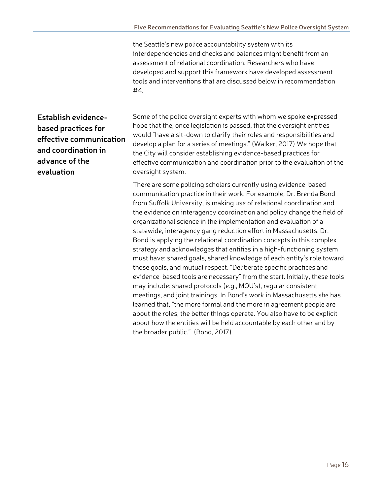the Seattle's new police accountability system with its interdependencies and checks and balances might benefit from an assessment of relational coordination. Researchers who have developed and support this framework have developed assessment tools and interventions that are discussed below in recommendation #4.

### **Establish evidencebased practices for effective communication and coordination in advance of the evaluation**

Some of the police oversight experts with whom we spoke expressed hope that the, once legislation is passed, that the oversight entities would "have a sit-down to clarify their roles and responsibilities and develop a plan for a series of meetings." (Walker, 2017) We hope that the City will consider establishing evidence-based practices for effective communication and coordination prior to the evaluation of the oversight system.

There are some policing scholars currently using evidence-based communication practice in their work. For example, Dr. Brenda Bond from Suffolk University, is making use of relational coordination and the evidence on interagency coordination and policy change the field of organizational science in the implementation and evaluation of a statewide, interagency gang reduction effort in Massachusetts. Dr. Bond is applying the relational coordination concepts in this complex strategy and acknowledges that entities in a high-functioning system must have: shared goals, shared knowledge of each entity's role toward those goals, and mutual respect. "Deliberate specific practices and evidence-based tools are necessary" from the start. Initially, these tools may include: shared protocols (e.g., MOU's), regular consistent meetings, and joint trainings. In Bond's work in Massachusetts she has learned that, "the more formal and the more in agreement people are about the roles, the better things operate. You also have to be explicit about how the entities will be held accountable by each other and by the broader public." (Bond, 2017)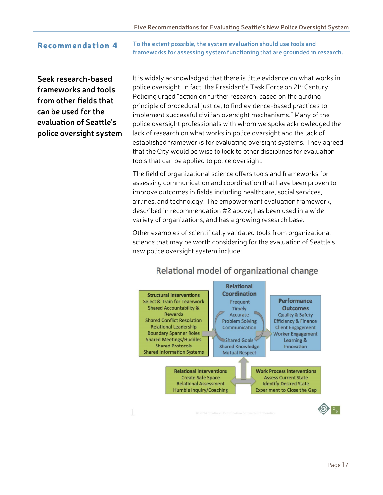Recommendation 4 **To the extent possible, the system evaluation should use tools and frameworks for assessing system functioning that are grounded in research.**

**Seek research-based frameworks and tools from other fields that can be used for the evaluation of Seattle's police oversight system** It is widely acknowledged that there is little evidence on what works in police oversight. In fact, the President's Task Force on 21<sup>st</sup> Century Policing urged "action on further research, based on the guiding principle of procedural justice, to find evidence-based practices to implement successful civilian oversight mechanisms." Many of the police oversight professionals with whom we spoke acknowledged the lack of research on what works in police oversight and the lack of established frameworks for evaluating oversight systems. They agreed that the City would be wise to look to other disciplines for evaluation tools that can be applied to police oversight.

The field of organizational science offers tools and frameworks for assessing communication and coordination that have been proven to improve outcomes in fields including healthcare, social services, airlines, and technology. The empowerment evaluation framework, described in recommendation #2 above, has been used in a wide variety of organizations, and has a growing research base.

Other examples of scientifically validated tools from organizational science that may be worth considering for the evaluation of Seattle's new police oversight system include:



#### Relational model of organizational change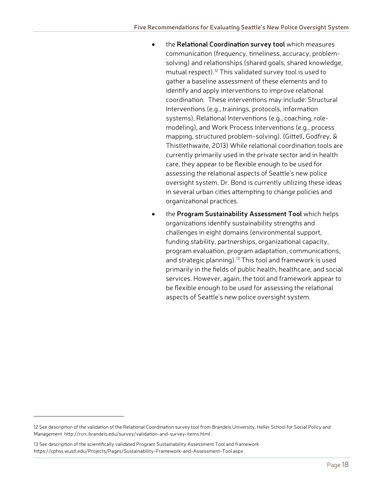- the **Relational Coordination survey tool** which measures communication (frequency, timeliness, accuracy, problemsolving) and relationships (shared goals, shared knowledge, mutual respect).<sup>[12](#page-19-0)</sup> This validated survey tool is used to gather a baseline assessment of these elements and to identify and apply interventions to improve relational coordination. These interventions may include: Structural Interventions (e.g., trainings, protocols, information systems), Relational Interventions (e.g., coaching, rolemodeling), and Work Process Interventions (e.g., process mapping, structured problem-solving). (Gittell, Godfrey, & Thistlethwaite, 2013) While relational coordination tools are currently primarily used in the private sector and in health care, they appear to be flexible enough to be used for assessing the relational aspects of Seattle's new police oversight system. Dr. Bond is currently utilizing these ideas in several urban cities attempting to change policies and organizational practices.
- the **Program Sustainability Assessment Tool** which helps organizations identify sustainability strengths and challenges in eight domains (environmental support, funding stability, partnerships, organizational capacity, program evaluation, program adaptation, communications, and strategic planning).<sup>[13](#page-19-1)</sup> This tool and framework is used primarily in the fields of public health, healthcare, and social services. However, again, the tool and framework appear to be flexible enough to be used for assessing the relational aspects of Seattle's new police oversight system.

 $\overline{a}$ 

<span id="page-19-0"></span><sup>12</sup> See description of the validation of the Relational Coordination survey tool from Brandeis University, Heller School for Social Policy and Management<http://rcrc.brandeis.edu/survey/validation-and-survey-items.html> .

<span id="page-19-1"></span><sup>13</sup> See description of the scientifically validated Program Sustainability Assessment Tool and framework <https://cphss.wustl.edu/Projects/Pages/Sustainability-Framework-and-Assessment-Tool.aspx>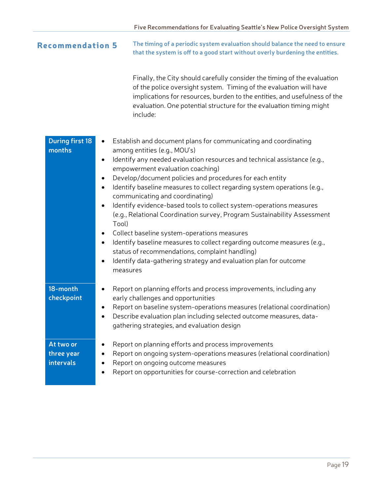| <b>Recommendation 5</b>              |                                                                         | The timing of a periodic system evaluation should balance the need to ensure<br>that the system is off to a good start without overly burdening the entities.                                                                                                                                                                                                                                                                                                                                                                                                                                                                                                                                                                                                                                 |  |  |
|--------------------------------------|-------------------------------------------------------------------------|-----------------------------------------------------------------------------------------------------------------------------------------------------------------------------------------------------------------------------------------------------------------------------------------------------------------------------------------------------------------------------------------------------------------------------------------------------------------------------------------------------------------------------------------------------------------------------------------------------------------------------------------------------------------------------------------------------------------------------------------------------------------------------------------------|--|--|
|                                      |                                                                         | Finally, the City should carefully consider the timing of the evaluation<br>of the police oversight system. Timing of the evaluation will have<br>implications for resources, burden to the entities, and usefulness of the<br>evaluation. One potential structure for the evaluation timing might<br>include:                                                                                                                                                                                                                                                                                                                                                                                                                                                                                |  |  |
| <b>During first 18</b><br>months     | $\bullet$<br>$\bullet$<br>$\bullet$<br>٠<br>Tool)<br>٠<br>٠<br>measures | Establish and document plans for communicating and coordinating<br>among entities (e.g., MOU's)<br>Identify any needed evaluation resources and technical assistance (e.g.,<br>empowerment evaluation coaching)<br>Develop/document policies and procedures for each entity<br>Identify baseline measures to collect regarding system operations (e.g.,<br>communicating and coordinating)<br>Identify evidence-based tools to collect system-operations measures<br>(e.g., Relational Coordination survey, Program Sustainability Assessment<br>Collect baseline system-operations measures<br>Identify baseline measures to collect regarding outcome measures (e.g.,<br>status of recommendations, complaint handling)<br>Identify data-gathering strategy and evaluation plan for outcome |  |  |
| 18-month<br>checkpoint               | ٠                                                                       | Report on planning efforts and process improvements, including any<br>early challenges and opportunities<br>Report on baseline system-operations measures (relational coordination)<br>Describe evaluation plan including selected outcome measures, data-<br>gathering strategies, and evaluation design                                                                                                                                                                                                                                                                                                                                                                                                                                                                                     |  |  |
| At two or<br>three year<br>intervals |                                                                         | Report on planning efforts and process improvements<br>Report on ongoing system-operations measures (relational coordination)<br>Report on ongoing outcome measures<br>Report on opportunities for course-correction and celebration                                                                                                                                                                                                                                                                                                                                                                                                                                                                                                                                                          |  |  |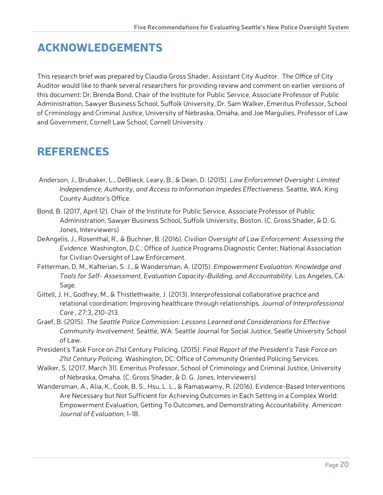## ACKNOWLEDGEMENTS

This research brief was prepared by Claudia Gross Shader, Assistant City Auditor. The Office of City Auditor would like to thank several researchers for providing review and comment on earlier versions of this document: Dr. Brenda Bond, Chair of the Institute for Public Service, Associate Professor of Public Administration, Sawyer Business School, Suffolk University, Dr. Sam Walker, Emeritus Professor, School of Criminology and Criminal Justice, University of Nebraska, Omaha, and Joe Margulies, Professor of Law and Government, Cornell Law School, Cornell University.

## REFERENCES

- Anderson, J., Brubaker, L., DeBlieck, Leary, B., & Dean, D. (2015). *Law Enforcemnet Oversight: Limited Independence, Authority, and Access to Information Impedes Effectiveness.* Seattle, WA: King County Auditor's Office.
- Bond, B. (2017, April 12). Chair of the Institute for Public Service, Associate Professor of Public Administration, Sawyer Business School, Suffolk University, Boston. (C. Gross Shader, & D. G. Jones, Interviewers)
- DeAngelis, J., Rosenthal, R., & Buchner, B. (2016). *Civilian Oversight of Law Enforcement: Assessing the Evidence.* Washington, D.C.: Office of Justice Programs Diagnostic Center; National Association for Civilian Oversight of Law Enforcement.
- Fetterman, D. M., Kafterian, S. J., & Wandersman, A. (2015). *Empowerment Evaluation: Knowledge and Tools for Self- Assessment, Evaluation Capacity-Building, and Accountability.* Los Angeles, CA: Sage.
- Gittell, J. H., Godfrey, M., & Thistlethwaite, J. (2013). Interprofessional collaborative practice and relational coordination: Improving healthcare through relationships. *Journal of Interprofessional Care* , 27:3, 210-213.
- Graef, B. (2015). *The Seattle Police Commission: Lessons Learned and Considerations for Effective Community Involvement.* Seattle, WA: Seattle Journal for Social Justice, Seatle University School of Law.
- President's Task Force on 21st Century Policing. (2015). *Final Report of the President's Task Force on 21st Century Policing.* Washington, DC: Office of Community Oriented Policing Services.
- Walker, S. (2017, March 31). Emeritus Professor, School of Criminology and Criminal Justice, University of Nebraska, Omaha. (C. Gross Shader, & D. G. Jones, Interviewers)
- Wandersman, A., Alia, K., Cook, B. S., Hsu, L. L., & Ramaswamy, R. (2016). Evidence-Based Interventions Are Necessary but Not Sufficient for Achieving Outcomes in Each Setting in a Complex World: Empowerment Evaluation, Getting To Outcomes, and Demonstrating Accountability. *American Journal of Evaluation*, 1-18.